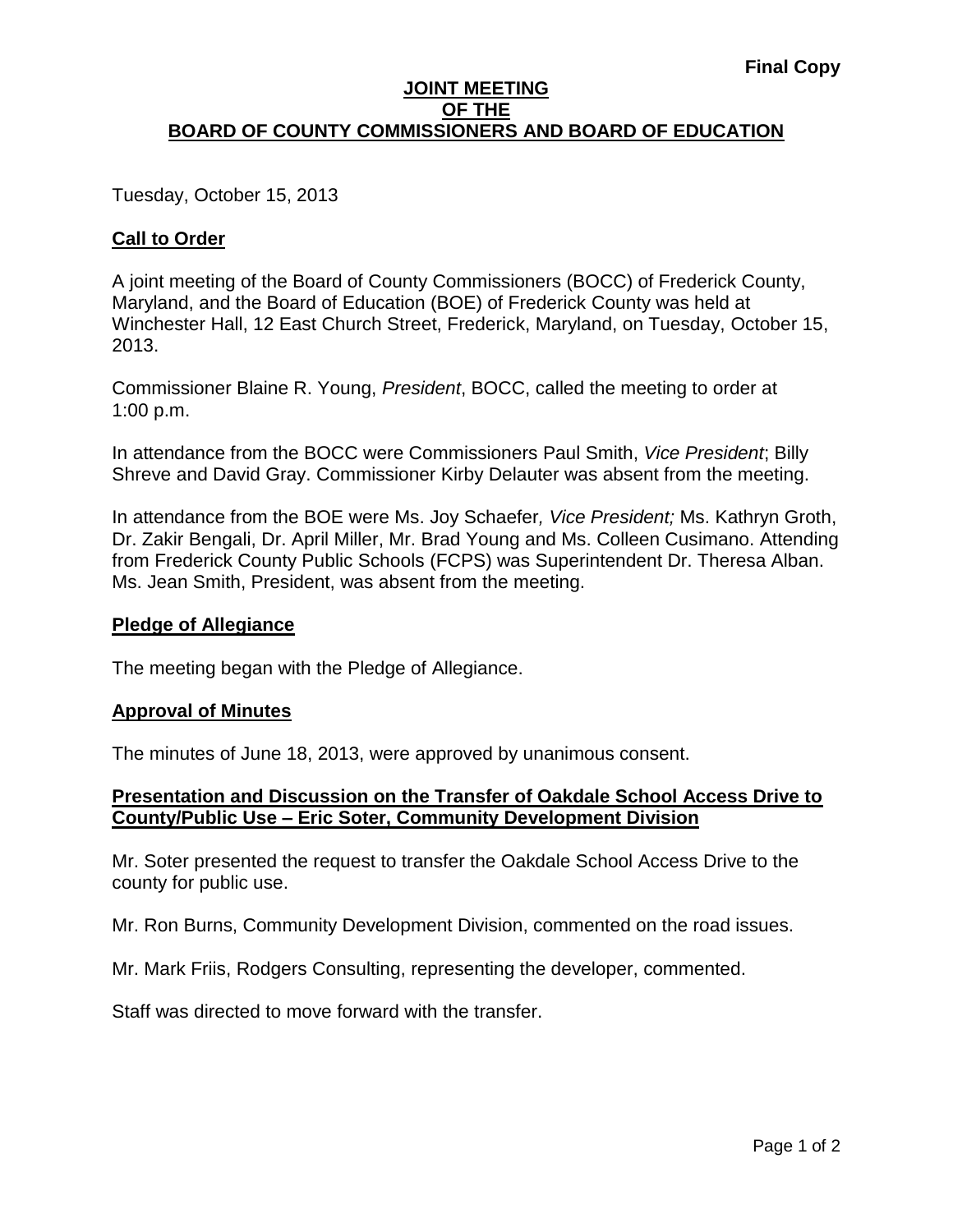## **JOINT MEETING OF THE BOARD OF COUNTY COMMISSIONERS AND BOARD OF EDUCATION**

Tuesday, October 15, 2013

# **Call to Order**

A joint meeting of the Board of County Commissioners (BOCC) of Frederick County, Maryland, and the Board of Education (BOE) of Frederick County was held at Winchester Hall, 12 East Church Street, Frederick, Maryland, on Tuesday, October 15, 2013.

Commissioner Blaine R. Young, *President*, BOCC, called the meeting to order at 1:00 p.m.

In attendance from the BOCC were Commissioners Paul Smith, *Vice President*; Billy Shreve and David Gray. Commissioner Kirby Delauter was absent from the meeting.

In attendance from the BOE were Ms. Joy Schaefer*, Vice President;* Ms. Kathryn Groth, Dr. Zakir Bengali, Dr. April Miller, Mr. Brad Young and Ms. Colleen Cusimano. Attending from Frederick County Public Schools (FCPS) was Superintendent Dr. Theresa Alban. Ms. Jean Smith, President, was absent from the meeting.

### **Pledge of Allegiance**

The meeting began with the Pledge of Allegiance.

### **Approval of Minutes**

The minutes of June 18, 2013, were approved by unanimous consent.

## **Presentation and Discussion on the Transfer of Oakdale School Access Drive to County/Public Use – Eric Soter, Community Development Division**

Mr. Soter presented the request to transfer the Oakdale School Access Drive to the county for public use.

Mr. Ron Burns, Community Development Division, commented on the road issues.

Mr. Mark Friis, Rodgers Consulting, representing the developer, commented.

Staff was directed to move forward with the transfer.